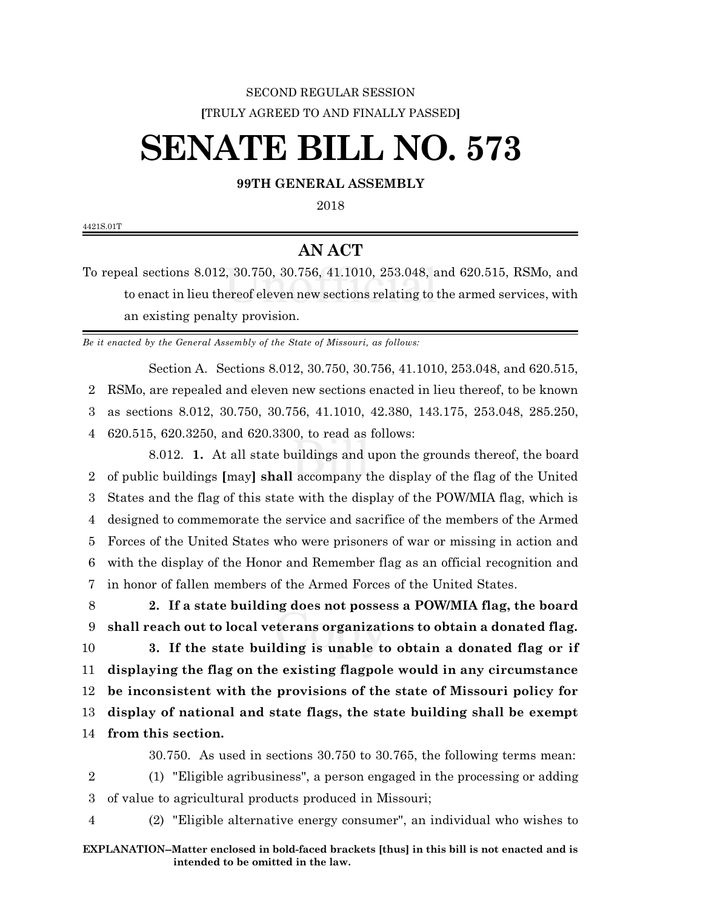## SECOND REGULAR SESSION **[**TRULY AGREED TO AND FINALLY PASSED**]**

## **SENATE BILL NO. 573**

## **99TH GENERAL ASSEMBLY**

2018

4421S.01T

## **AN ACT**

To repeal sections 8.012, 30.750, 30.756, 41.1010, 253.048, and 620.515, RSMo, and to enact in lieu thereof eleven new sections relating to the armed services, with an existing penalty provision.

*Be it enacted by the General Assembly of the State of Missouri, as follows:*

Section A. Sections 8.012, 30.750, 30.756, 41.1010, 253.048, and 620.515, RSMo, are repealed and eleven new sections enacted in lieu thereof, to be known as sections 8.012, 30.750, 30.756, 41.1010, 42.380, 143.175, 253.048, 285.250, 620.515, 620.3250, and 620.3300, to read as follows:

8.012. **1.** At all state buildings and upon the grounds thereof, the board of public buildings **[**may**] shall** accompany the display of the flag of the United States and the flag of this state with the display of the POW/MIA flag, which is designed to commemorate the service and sacrifice of the members of the Armed Forces of the United States who were prisoners of war or missing in action and with the display of the Honor and Remember flag as an official recognition and in honor of fallen members of the Armed Forces of the United States.

8 **2. If a state building does not possess a POW/MIA flag, the board** 9 **shall reach out to local veterans organizations to obtain a donated flag.**

 **3. If the state building is unable to obtain a donated flag or if displaying the flag on the existing flagpole would in any circumstance be inconsistent with the provisions of the state of Missouri policy for display of national and state flags, the state building shall be exempt from this section.**

30.750. As used in sections 30.750 to 30.765, the following terms mean:

2 (1) "Eligible agribusiness", a person engaged in the processing or adding 3 of value to agricultural products produced in Missouri;

4 (2) "Eligible alternative energy consumer", an individual who wishes to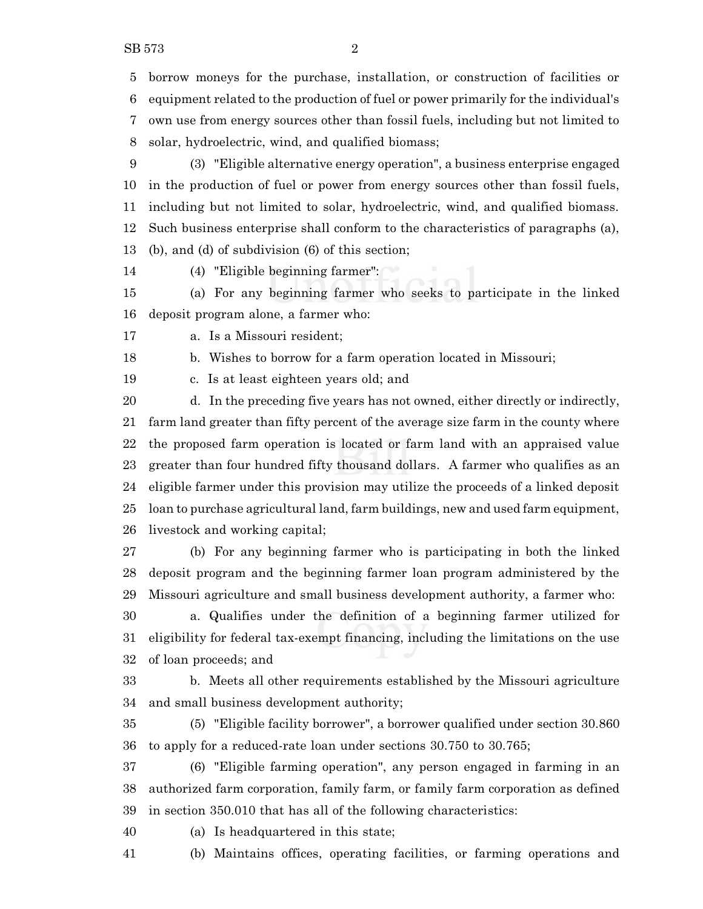(3) "Eligible alternative energy operation", a business enterprise engaged in the production of fuel or power from energy sources other than fossil fuels, including but not limited to solar, hydroelectric, wind, and qualified biomass. Such business enterprise shall conform to the characteristics of paragraphs (a), (b), and (d) of subdivision (6) of this section;

(4) "Eligible beginning farmer":

 (a) For any beginning farmer who seeks to participate in the linked deposit program alone, a farmer who:

a. Is a Missouri resident;

b. Wishes to borrow for a farm operation located in Missouri;

c. Is at least eighteen years old; and

 d. In the preceding five years has not owned, either directly or indirectly, farm land greater than fifty percent of the average size farm in the county where the proposed farm operation is located or farm land with an appraised value greater than four hundred fifty thousand dollars. A farmer who qualifies as an eligible farmer under this provision may utilize the proceeds of a linked deposit loan to purchase agricultural land, farm buildings, new and used farm equipment, livestock and working capital;

 (b) For any beginning farmer who is participating in both the linked deposit program and the beginning farmer loan program administered by the Missouri agriculture and small business development authority, a farmer who:

 a. Qualifies under the definition of a beginning farmer utilized for eligibility for federal tax-exempt financing, including the limitations on the use of loan proceeds; and

 b. Meets all other requirements established by the Missouri agriculture and small business development authority;

 (5) "Eligible facility borrower", a borrower qualified under section 30.860 to apply for a reduced-rate loan under sections 30.750 to 30.765;

 (6) "Eligible farming operation", any person engaged in farming in an authorized farm corporation, family farm, or family farm corporation as defined in section 350.010 that has all of the following characteristics:

(a) Is headquartered in this state;

(b) Maintains offices, operating facilities, or farming operations and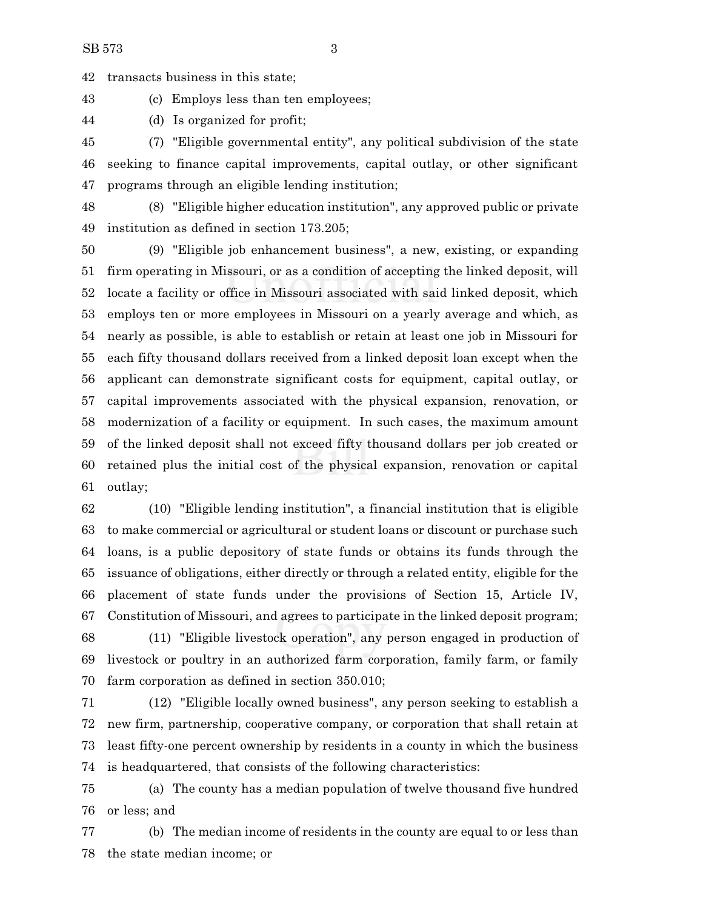transacts business in this state;

(c) Employs less than ten employees;

(d) Is organized for profit;

 (7) "Eligible governmental entity", any political subdivision of the state seeking to finance capital improvements, capital outlay, or other significant programs through an eligible lending institution;

 (8) "Eligible higher education institution", any approved public or private institution as defined in section 173.205;

 (9) "Eligible job enhancement business", a new, existing, or expanding firm operating in Missouri, or as a condition of accepting the linked deposit, will locate a facility or office in Missouri associated with said linked deposit, which employs ten or more employees in Missouri on a yearly average and which, as nearly as possible, is able to establish or retain at least one job in Missouri for each fifty thousand dollars received from a linked deposit loan except when the applicant can demonstrate significant costs for equipment, capital outlay, or capital improvements associated with the physical expansion, renovation, or modernization of a facility or equipment. In such cases, the maximum amount of the linked deposit shall not exceed fifty thousand dollars per job created or retained plus the initial cost of the physical expansion, renovation or capital outlay;

 (10) "Eligible lending institution", a financial institution that is eligible to make commercial or agricultural or student loans or discount or purchase such loans, is a public depository of state funds or obtains its funds through the issuance of obligations, either directly or through a related entity, eligible for the placement of state funds under the provisions of Section 15, Article IV, Constitution of Missouri, and agrees to participate in the linked deposit program;

 (11) "Eligible livestock operation", any person engaged in production of livestock or poultry in an authorized farm corporation, family farm, or family farm corporation as defined in section 350.010;

 (12) "Eligible locally owned business", any person seeking to establish a new firm, partnership, cooperative company, or corporation that shall retain at least fifty-one percent ownership by residents in a county in which the business is headquartered, that consists of the following characteristics:

 (a) The county has a median population of twelve thousand five hundred or less; and

 (b) The median income of residents in the county are equal to or less than the state median income; or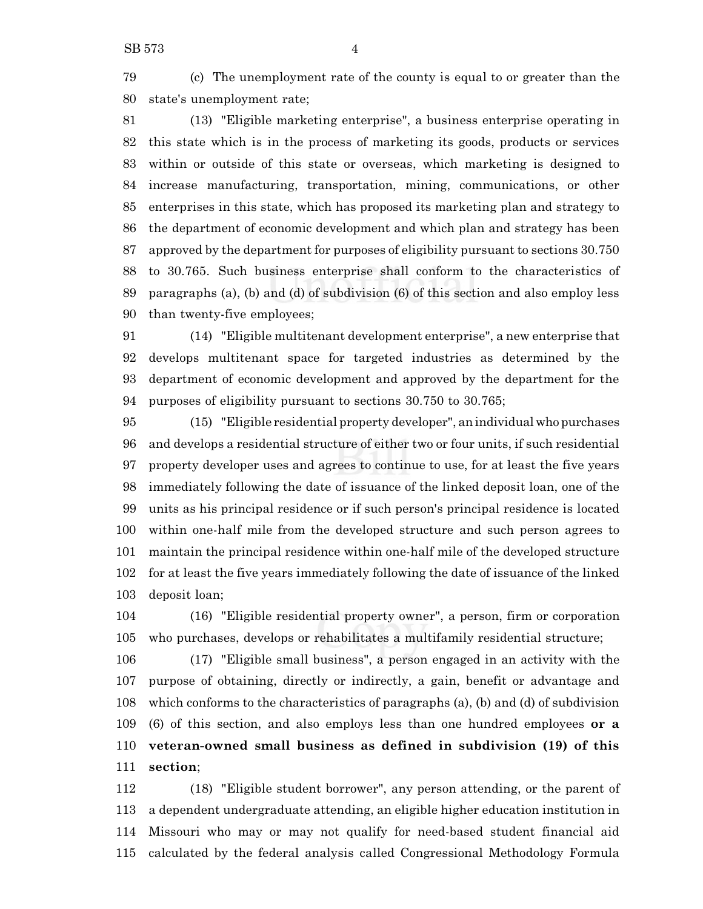(c) The unemployment rate of the county is equal to or greater than the state's unemployment rate;

 (13) "Eligible marketing enterprise", a business enterprise operating in this state which is in the process of marketing its goods, products or services within or outside of this state or overseas, which marketing is designed to increase manufacturing, transportation, mining, communications, or other enterprises in this state, which has proposed its marketing plan and strategy to the department of economic development and which plan and strategy has been approved by the department for purposes of eligibility pursuant to sections 30.750 to 30.765. Such business enterprise shall conform to the characteristics of paragraphs (a), (b) and (d) of subdivision (6) of this section and also employ less than twenty-five employees;

 (14) "Eligible multitenant development enterprise", a new enterprise that develops multitenant space for targeted industries as determined by the department of economic development and approved by the department for the purposes of eligibility pursuant to sections 30.750 to 30.765;

 (15) "Eligible residential property developer", an individual who purchases and develops a residential structure of either two or four units, if such residential property developer uses and agrees to continue to use, for at least the five years immediately following the date of issuance of the linked deposit loan, one of the units as his principal residence or if such person's principal residence is located within one-half mile from the developed structure and such person agrees to maintain the principal residence within one-half mile of the developed structure for at least the five years immediately following the date of issuance of the linked deposit loan;

 (16) "Eligible residential property owner", a person, firm or corporation who purchases, develops or rehabilitates a multifamily residential structure;

 (17) "Eligible small business", a person engaged in an activity with the purpose of obtaining, directly or indirectly, a gain, benefit or advantage and which conforms to the characteristics of paragraphs (a), (b) and (d) of subdivision (6) of this section, and also employs less than one hundred employees **or a veteran-owned small business as defined in subdivision (19) of this section**;

 (18) "Eligible student borrower", any person attending, or the parent of a dependent undergraduate attending, an eligible higher education institution in Missouri who may or may not qualify for need-based student financial aid calculated by the federal analysis called Congressional Methodology Formula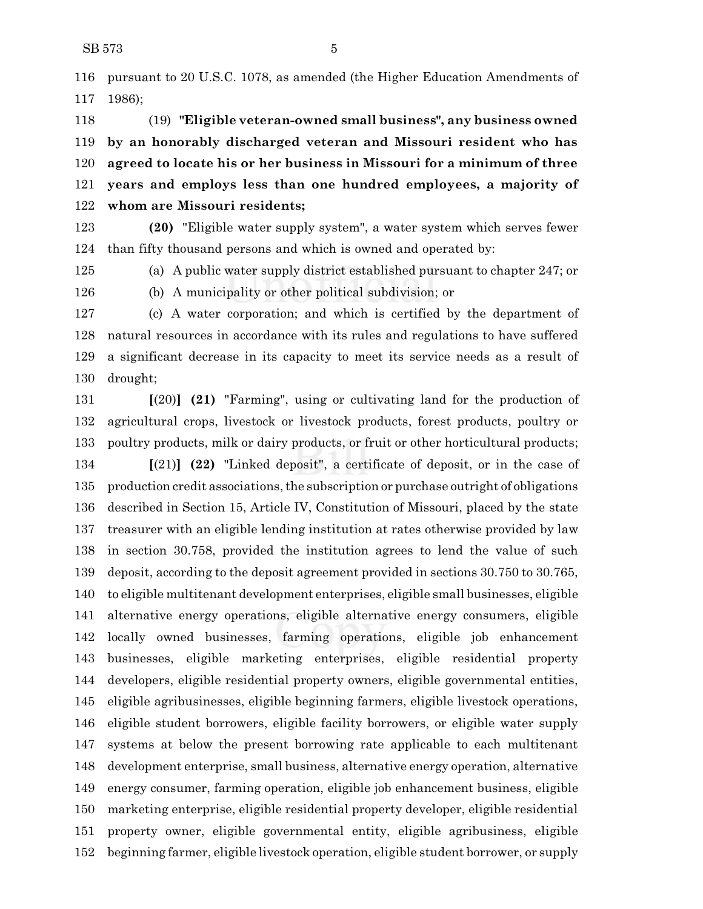pursuant to 20 U.S.C. 1078, as amended (the Higher Education Amendments of 1986);

 (19) **"Eligible veteran-owned small business", any business owned by an honorably discharged veteran and Missouri resident who has agreed to locate his or her business in Missouri for a minimum of three years and employs less than one hundred employees, a majority of whom are Missouri residents;**

 **(20)** "Eligible water supply system", a water system which serves fewer than fifty thousand persons and which is owned and operated by:

(a) A public water supply district established pursuant to chapter 247; or

(b) A municipality or other political subdivision; or

 (c) A water corporation; and which is certified by the department of natural resources in accordance with its rules and regulations to have suffered a significant decrease in its capacity to meet its service needs as a result of drought;

 **[**(20)**] (21)** "Farming", using or cultivating land for the production of agricultural crops, livestock or livestock products, forest products, poultry or poultry products, milk or dairy products, or fruit or other horticultural products;

 **[**(21)**] (22)** "Linked deposit", a certificate of deposit, or in the case of production credit associations, the subscription or purchase outright of obligations described in Section 15, Article IV, Constitution of Missouri, placed by the state treasurer with an eligible lending institution at rates otherwise provided by law in section 30.758, provided the institution agrees to lend the value of such deposit, according to the deposit agreement provided in sections 30.750 to 30.765, to eligible multitenant development enterprises, eligible small businesses, eligible alternative energy operations, eligible alternative energy consumers, eligible locally owned businesses, farming operations, eligible job enhancement businesses, eligible marketing enterprises, eligible residential property developers, eligible residential property owners, eligible governmental entities, eligible agribusinesses, eligible beginning farmers, eligible livestock operations, eligible student borrowers, eligible facility borrowers, or eligible water supply systems at below the present borrowing rate applicable to each multitenant development enterprise, small business, alternative energy operation, alternative energy consumer, farming operation, eligible job enhancement business, eligible marketing enterprise, eligible residential property developer, eligible residential property owner, eligible governmental entity, eligible agribusiness, eligible beginning farmer, eligible livestock operation, eligible student borrower, or supply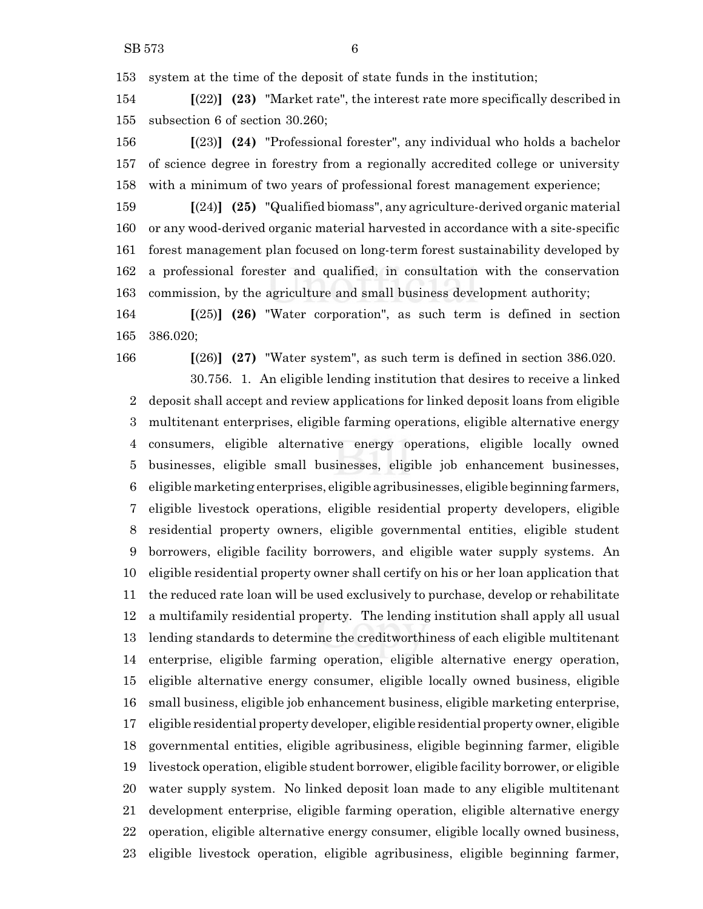system at the time of the deposit of state funds in the institution;

 **[**(22)**] (23)** "Market rate", the interest rate more specifically described in subsection 6 of section 30.260;

 **[**(23)**] (24)** "Professional forester", any individual who holds a bachelor of science degree in forestry from a regionally accredited college or university with a minimum of two years of professional forest management experience;

 **[**(24)**] (25)** "Qualified biomass", any agriculture-derived organic material or any wood-derived organic material harvested in accordance with a site-specific forest management plan focused on long-term forest sustainability developed by a professional forester and qualified, in consultation with the conservation commission, by the agriculture and small business development authority;

 **[**(25)**] (26)** "Water corporation", as such term is defined in section 386.020;

**[**(26)**] (27)** "Water system", as such term is defined in section 386.020.

30.756. 1. An eligible lending institution that desires to receive a linked deposit shall accept and review applications for linked deposit loans from eligible multitenant enterprises, eligible farming operations, eligible alternative energy consumers, eligible alternative energy operations, eligible locally owned businesses, eligible small businesses, eligible job enhancement businesses, eligible marketing enterprises, eligible agribusinesses, eligible beginning farmers, eligible livestock operations, eligible residential property developers, eligible residential property owners, eligible governmental entities, eligible student borrowers, eligible facility borrowers, and eligible water supply systems. An eligible residential property owner shall certify on his or her loan application that the reduced rate loan will be used exclusively to purchase, develop or rehabilitate a multifamily residential property. The lending institution shall apply all usual lending standards to determine the creditworthiness of each eligible multitenant enterprise, eligible farming operation, eligible alternative energy operation, eligible alternative energy consumer, eligible locally owned business, eligible small business, eligible job enhancement business, eligible marketing enterprise, eligible residential property developer, eligible residential property owner, eligible governmental entities, eligible agribusiness, eligible beginning farmer, eligible livestock operation, eligible student borrower, eligible facility borrower, or eligible water supply system. No linked deposit loan made to any eligible multitenant development enterprise, eligible farming operation, eligible alternative energy operation, eligible alternative energy consumer, eligible locally owned business, eligible livestock operation, eligible agribusiness, eligible beginning farmer,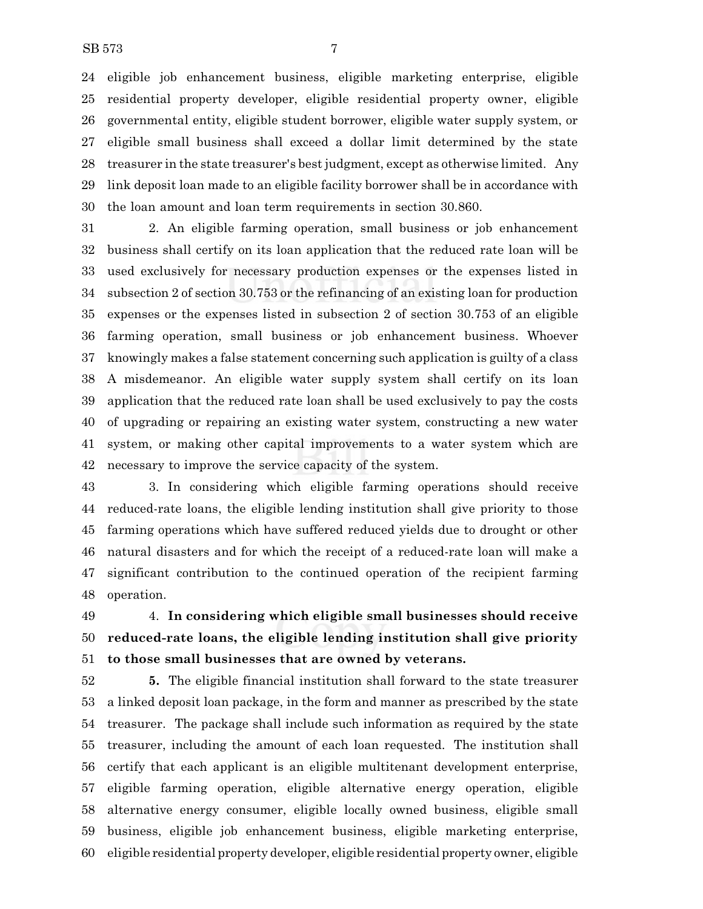eligible job enhancement business, eligible marketing enterprise, eligible residential property developer, eligible residential property owner, eligible governmental entity, eligible student borrower, eligible water supply system, or eligible small business shall exceed a dollar limit determined by the state treasurer in the state treasurer's best judgment, except as otherwise limited. Any link deposit loan made to an eligible facility borrower shall be in accordance with the loan amount and loan term requirements in section 30.860.

 2. An eligible farming operation, small business or job enhancement business shall certify on its loan application that the reduced rate loan will be used exclusively for necessary production expenses or the expenses listed in subsection 2 of section 30.753 or the refinancing of an existing loan for production expenses or the expenses listed in subsection 2 of section 30.753 of an eligible farming operation, small business or job enhancement business. Whoever knowingly makes a false statement concerning such application is guilty of a class A misdemeanor. An eligible water supply system shall certify on its loan application that the reduced rate loan shall be used exclusively to pay the costs of upgrading or repairing an existing water system, constructing a new water system, or making other capital improvements to a water system which are necessary to improve the service capacity of the system.

 3. In considering which eligible farming operations should receive reduced-rate loans, the eligible lending institution shall give priority to those farming operations which have suffered reduced yields due to drought or other natural disasters and for which the receipt of a reduced-rate loan will make a significant contribution to the continued operation of the recipient farming operation.

 4. **In considering which eligible small businesses should receive reduced-rate loans, the eligible lending institution shall give priority to those small businesses that are owned by veterans.**

 **5.** The eligible financial institution shall forward to the state treasurer a linked deposit loan package, in the form and manner as prescribed by the state treasurer. The package shall include such information as required by the state treasurer, including the amount of each loan requested. The institution shall certify that each applicant is an eligible multitenant development enterprise, eligible farming operation, eligible alternative energy operation, eligible alternative energy consumer, eligible locally owned business, eligible small business, eligible job enhancement business, eligible marketing enterprise, eligible residential property developer, eligible residential property owner, eligible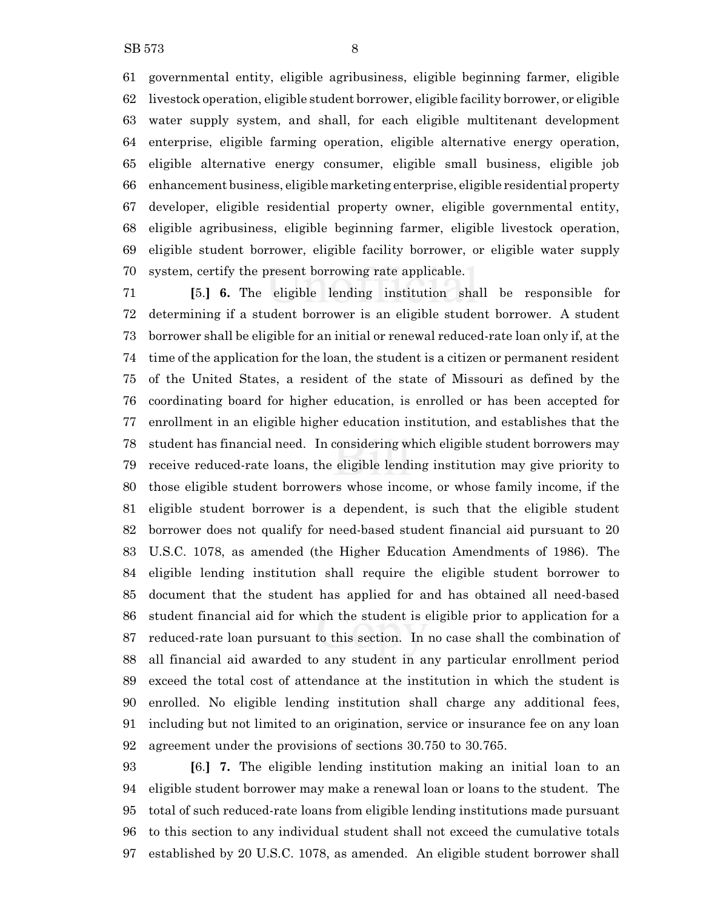governmental entity, eligible agribusiness, eligible beginning farmer, eligible livestock operation, eligible student borrower, eligible facility borrower, or eligible water supply system, and shall, for each eligible multitenant development enterprise, eligible farming operation, eligible alternative energy operation, eligible alternative energy consumer, eligible small business, eligible job enhancement business, eligible marketing enterprise, eligible residential property developer, eligible residential property owner, eligible governmental entity, eligible agribusiness, eligible beginning farmer, eligible livestock operation, eligible student borrower, eligible facility borrower, or eligible water supply system, certify the present borrowing rate applicable.

 **[**5.**] 6.** The eligible lending institution shall be responsible for determining if a student borrower is an eligible student borrower. A student borrower shall be eligible for an initial or renewal reduced-rate loan only if, at the time of the application for the loan, the student is a citizen or permanent resident of the United States, a resident of the state of Missouri as defined by the coordinating board for higher education, is enrolled or has been accepted for enrollment in an eligible higher education institution, and establishes that the student has financial need. In considering which eligible student borrowers may receive reduced-rate loans, the eligible lending institution may give priority to those eligible student borrowers whose income, or whose family income, if the eligible student borrower is a dependent, is such that the eligible student borrower does not qualify for need-based student financial aid pursuant to 20 U.S.C. 1078, as amended (the Higher Education Amendments of 1986). The eligible lending institution shall require the eligible student borrower to document that the student has applied for and has obtained all need-based student financial aid for which the student is eligible prior to application for a reduced-rate loan pursuant to this section. In no case shall the combination of all financial aid awarded to any student in any particular enrollment period exceed the total cost of attendance at the institution in which the student is enrolled. No eligible lending institution shall charge any additional fees, including but not limited to an origination, service or insurance fee on any loan agreement under the provisions of sections 30.750 to 30.765.

 **[**6.**] 7.** The eligible lending institution making an initial loan to an eligible student borrower may make a renewal loan or loans to the student. The total of such reduced-rate loans from eligible lending institutions made pursuant to this section to any individual student shall not exceed the cumulative totals established by 20 U.S.C. 1078, as amended. An eligible student borrower shall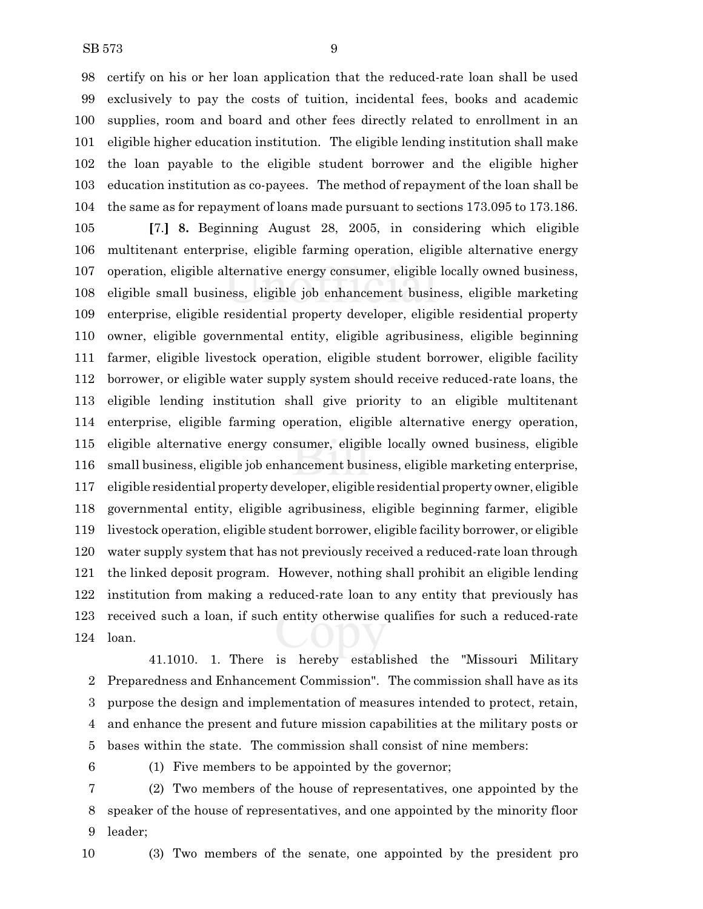certify on his or her loan application that the reduced-rate loan shall be used exclusively to pay the costs of tuition, incidental fees, books and academic supplies, room and board and other fees directly related to enrollment in an eligible higher education institution. The eligible lending institution shall make the loan payable to the eligible student borrower and the eligible higher education institution as co-payees. The method of repayment of the loan shall be the same as for repayment of loans made pursuant to sections 173.095 to 173.186.

 **[**7.**] 8.** Beginning August 28, 2005, in considering which eligible multitenant enterprise, eligible farming operation, eligible alternative energy operation, eligible alternative energy consumer, eligible locally owned business, eligible small business, eligible job enhancement business, eligible marketing enterprise, eligible residential property developer, eligible residential property owner, eligible governmental entity, eligible agribusiness, eligible beginning farmer, eligible livestock operation, eligible student borrower, eligible facility borrower, or eligible water supply system should receive reduced-rate loans, the eligible lending institution shall give priority to an eligible multitenant enterprise, eligible farming operation, eligible alternative energy operation, eligible alternative energy consumer, eligible locally owned business, eligible small business, eligible job enhancement business, eligible marketing enterprise, eligible residential property developer, eligible residential property owner, eligible governmental entity, eligible agribusiness, eligible beginning farmer, eligible livestock operation, eligible student borrower, eligible facility borrower, or eligible water supply system that has not previously received a reduced-rate loan through the linked deposit program. However, nothing shall prohibit an eligible lending institution from making a reduced-rate loan to any entity that previously has received such a loan, if such entity otherwise qualifies for such a reduced-rate loan.

41.1010. 1. There is hereby established the "Missouri Military Preparedness and Enhancement Commission". The commission shall have as its purpose the design and implementation of measures intended to protect, retain, and enhance the present and future mission capabilities at the military posts or bases within the state. The commission shall consist of nine members:

(1) Five members to be appointed by the governor;

 (2) Two members of the house of representatives, one appointed by the speaker of the house of representatives, and one appointed by the minority floor leader;

(3) Two members of the senate, one appointed by the president pro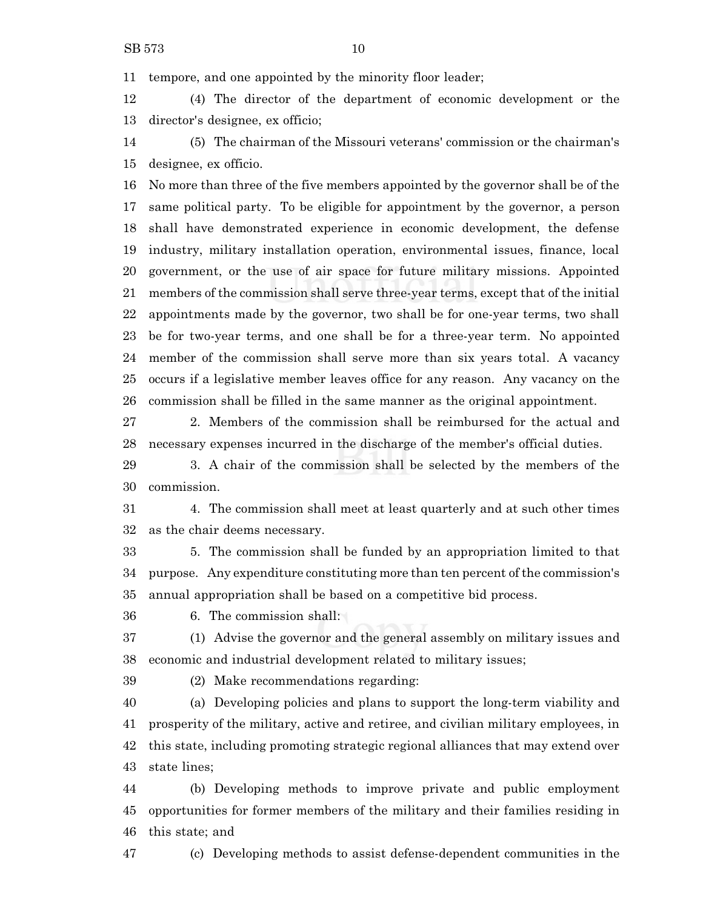tempore, and one appointed by the minority floor leader;

 (4) The director of the department of economic development or the director's designee, ex officio;

 (5) The chairman of the Missouri veterans' commission or the chairman's designee, ex officio.

 No more than three of the five members appointed by the governor shall be of the same political party. To be eligible for appointment by the governor, a person shall have demonstrated experience in economic development, the defense industry, military installation operation, environmental issues, finance, local government, or the use of air space for future military missions. Appointed members of the commission shall serve three-year terms, except that of the initial appointments made by the governor, two shall be for one-year terms, two shall be for two-year terms, and one shall be for a three-year term. No appointed member of the commission shall serve more than six years total. A vacancy occurs if a legislative member leaves office for any reason. Any vacancy on the commission shall be filled in the same manner as the original appointment.

 2. Members of the commission shall be reimbursed for the actual and necessary expenses incurred in the discharge of the member's official duties.

 3. A chair of the commission shall be selected by the members of the commission.

 4. The commission shall meet at least quarterly and at such other times as the chair deems necessary.

 5. The commission shall be funded by an appropriation limited to that 34 purpose. Any expenditure constituting more than ten percent of the commission's annual appropriation shall be based on a competitive bid process.

6. The commission shall:

 (1) Advise the governor and the general assembly on military issues and economic and industrial development related to military issues;

(2) Make recommendations regarding:

 (a) Developing policies and plans to support the long-term viability and prosperity of the military, active and retiree, and civilian military employees, in this state, including promoting strategic regional alliances that may extend over state lines;

 (b) Developing methods to improve private and public employment opportunities for former members of the military and their families residing in this state; and

(c) Developing methods to assist defense-dependent communities in the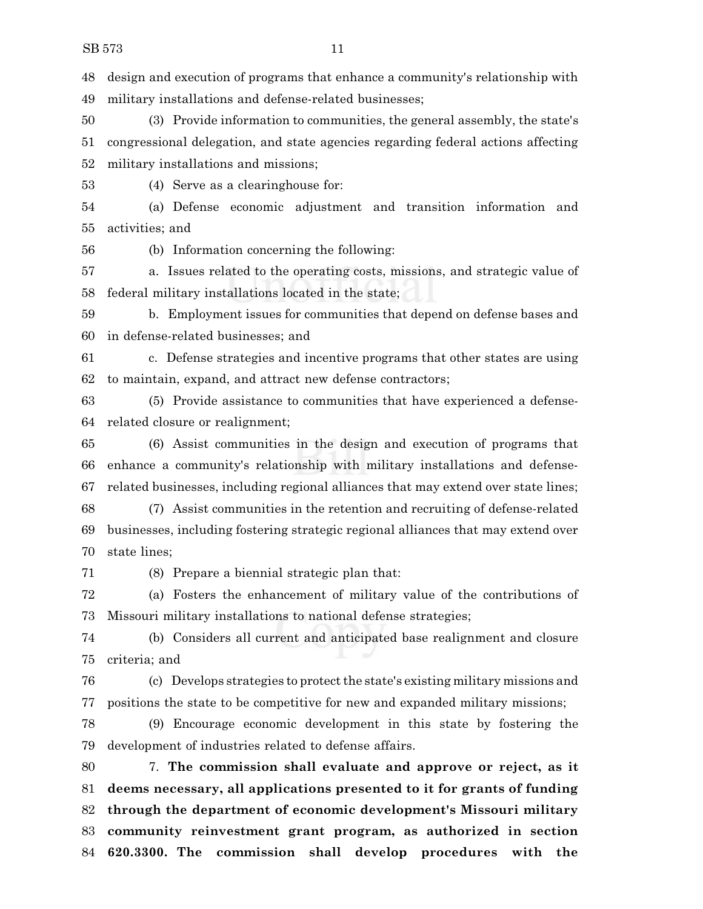design and execution of programs that enhance a community's relationship with military installations and defense-related businesses;

 (3) Provide information to communities, the general assembly, the state's congressional delegation, and state agencies regarding federal actions affecting military installations and missions;

(4) Serve as a clearinghouse for:

 (a) Defense economic adjustment and transition information and activities; and

(b) Information concerning the following:

 a. Issues related to the operating costs, missions, and strategic value of federal military installations located in the state;

 b. Employment issues for communities that depend on defense bases and in defense-related businesses; and

 c. Defense strategies and incentive programs that other states are using to maintain, expand, and attract new defense contractors;

 (5) Provide assistance to communities that have experienced a defense-related closure or realignment;

 (6) Assist communities in the design and execution of programs that enhance a community's relationship with military installations and defense-related businesses, including regional alliances that may extend over state lines;

 (7) Assist communities in the retention and recruiting of defense-related businesses, including fostering strategic regional alliances that may extend over state lines;

(8) Prepare a biennial strategic plan that:

 (a) Fosters the enhancement of military value of the contributions of Missouri military installations to national defense strategies;

 (b) Considers all current and anticipated base realignment and closure criteria; and

 (c) Develops strategies to protect the state's existing military missions and positions the state to be competitive for new and expanded military missions;

 (9) Encourage economic development in this state by fostering the development of industries related to defense affairs.

 7. **The commission shall evaluate and approve or reject, as it deems necessary, all applications presented to it for grants of funding through the department of economic development's Missouri military community reinvestment grant program, as authorized in section 620.3300. The commission shall develop procedures with the**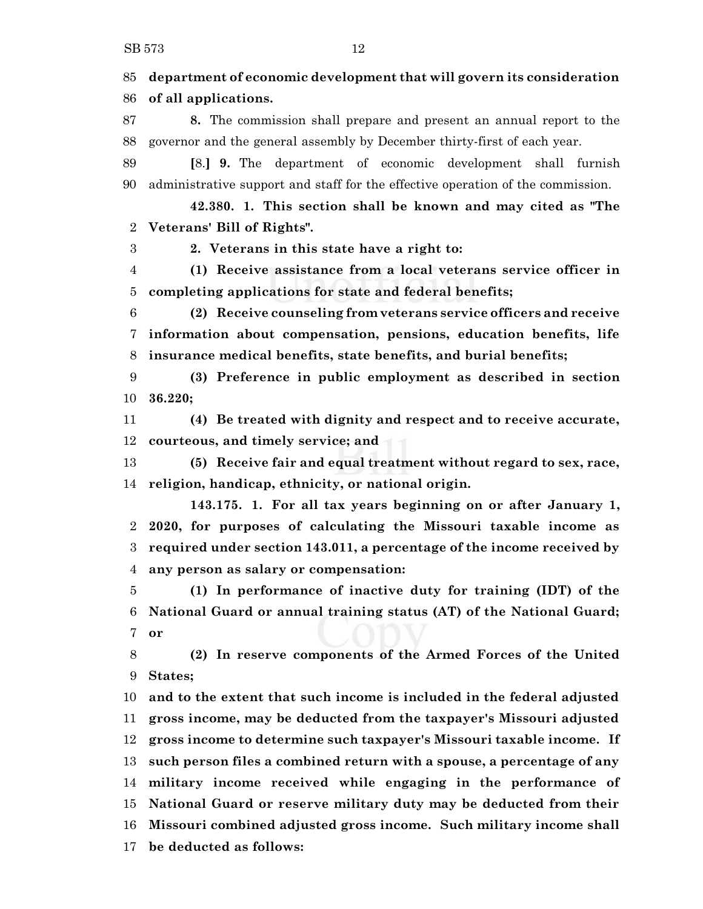**department of economic development that will govern its consideration of all applications. 8.** The commission shall prepare and present an annual report to the governor and the general assembly by December thirty-first of each year. **[**8.**] 9.** The department of economic development shall furnish administrative support and staff for the effective operation of the commission. **42.380. 1. This section shall be known and may cited as "The Veterans' Bill of Rights". 2. Veterans in this state have a right to: (1) Receive assistance from a local veterans service officer in completing applications for state and federal benefits; (2) Receive counseling from veterans service officers and receive information about compensation, pensions, education benefits, life insurance medical benefits, state benefits, and burial benefits; (3) Preference in public employment as described in section 36.220; (4) Be treated with dignity and respect and to receive accurate, courteous, and timely service; and (5) Receive fair and equal treatment without regard to sex, race, religion, handicap, ethnicity, or national origin. 143.175. 1. For all tax years beginning on or after January 1, 2020, for purposes of calculating the Missouri taxable income as required under section 143.011, a percentage of the income received by any person as salary or compensation: (1) In performance of inactive duty for training (IDT) of the National Guard or annual training status (AT) of the National Guard; or (2) In reserve components of the Armed Forces of the United States; and to the extent that such income is included in the federal adjusted gross income, may be deducted from the taxpayer's Missouri adjusted gross income to determine such taxpayer's Missouri taxable income. If such person files a combined return with a spouse, a percentage of any military income received while engaging in the performance of National Guard or reserve military duty may be deducted from their Missouri combined adjusted gross income. Such military income shall be deducted as follows:**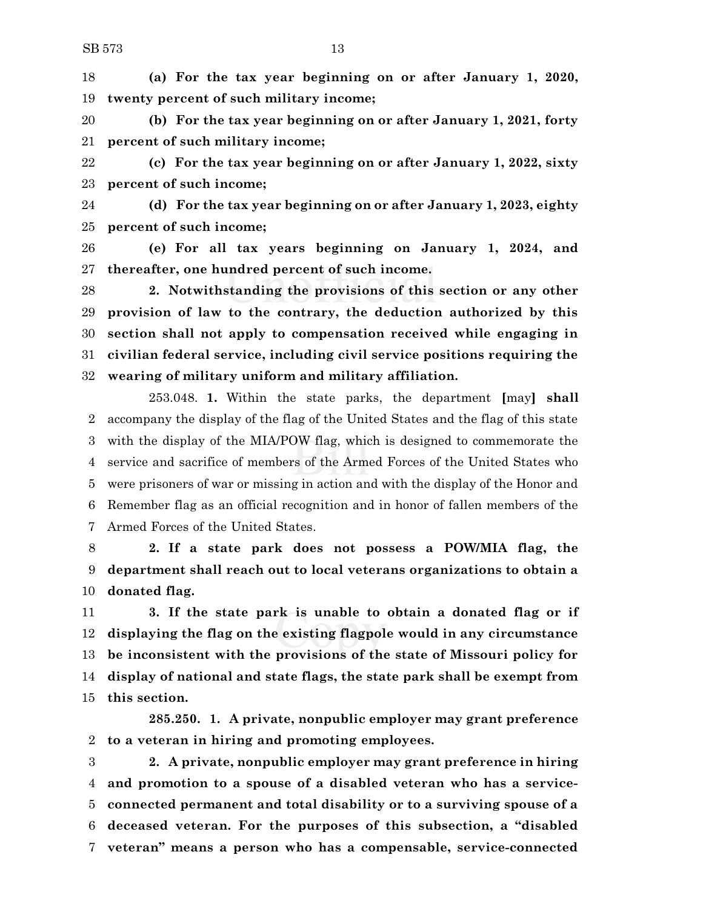**(a) For the tax year beginning on or after January 1, 2020, twenty percent of such military income;**

 **(b) For the tax year beginning on or after January 1, 2021, forty percent of such military income;**

 **(c) For the tax year beginning on or after January 1, 2022, sixty percent of such income;**

 **(d) For the tax year beginning on or after January 1, 2023, eighty percent of such income;**

 **(e) For all tax years beginning on January 1, 2024, and thereafter, one hundred percent of such income.**

 **2. Notwithstanding the provisions of this section or any other provision of law to the contrary, the deduction authorized by this section shall not apply to compensation received while engaging in civilian federal service, including civil service positions requiring the wearing of military uniform and military affiliation.**

253.048. **1.** Within the state parks, the department **[**may**] shall** accompany the display of the flag of the United States and the flag of this state with the display of the MIA/POW flag, which is designed to commemorate the service and sacrifice of members of the Armed Forces of the United States who were prisoners of war or missing in action and with the display of the Honor and Remember flag as an official recognition and in honor of fallen members of the Armed Forces of the United States.

 **2. If a state park does not possess a POW/MIA flag, the department shall reach out to local veterans organizations to obtain a donated flag.**

 **3. If the state park is unable to obtain a donated flag or if displaying the flag on the existing flagpole would in any circumstance be inconsistent with the provisions of the state of Missouri policy for display of national and state flags, the state park shall be exempt from this section.**

**285.250. 1. A private, nonpublic employer may grant preference to a veteran in hiring and promoting employees.**

 **2. A private, nonpublic employer may grant preference in hiring and promotion to a spouse of a disabled veteran who has a service- connected permanent and total disability or to a surviving spouse of a deceased veteran. For the purposes of this subsection, a "disabled veteran" means a person who has a compensable, service-connected**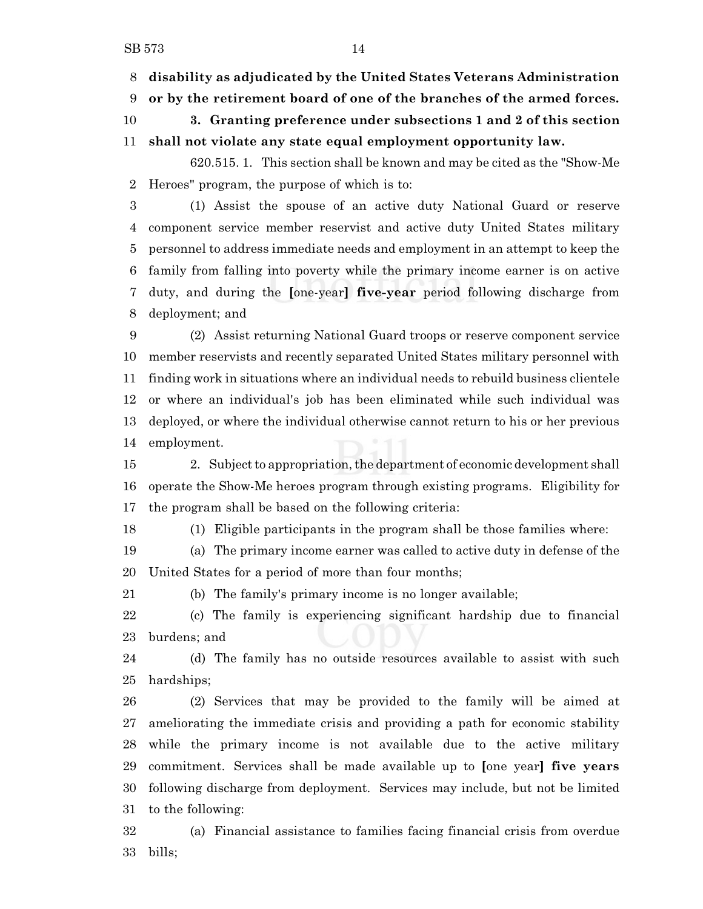**disability as adjudicated by the United States Veterans Administration**

**or by the retirement board of one of the branches of the armed forces.**

 **3. Granting preference under subsections 1 and 2 of this section shall not violate any state equal employment opportunity law.**

620.515. 1. This section shall be known and may be cited as the "Show-Me Heroes" program, the purpose of which is to:

 (1) Assist the spouse of an active duty National Guard or reserve component service member reservist and active duty United States military personnel to address immediate needs and employment in an attempt to keep the family from falling into poverty while the primary income earner is on active duty, and during the **[**one-year**] five-year** period following discharge from deployment; and

 (2) Assist returning National Guard troops or reserve component service member reservists and recently separated United States military personnel with finding work in situations where an individual needs to rebuild business clientele or where an individual's job has been eliminated while such individual was deployed, or where the individual otherwise cannot return to his or her previous employment.

15 2. Subject to appropriation, the department of economic development shall operate the Show-Me heroes program through existing programs. Eligibility for the program shall be based on the following criteria:

(1) Eligible participants in the program shall be those families where:

 (a) The primary income earner was called to active duty in defense of the United States for a period of more than four months;

(b) The family's primary income is no longer available;

 (c) The family is experiencing significant hardship due to financial burdens; and

 (d) The family has no outside resources available to assist with such hardships;

 (2) Services that may be provided to the family will be aimed at ameliorating the immediate crisis and providing a path for economic stability while the primary income is not available due to the active military commitment. Services shall be made available up to **[**one year**] five years** following discharge from deployment. Services may include, but not be limited to the following:

 (a) Financial assistance to families facing financial crisis from overdue bills;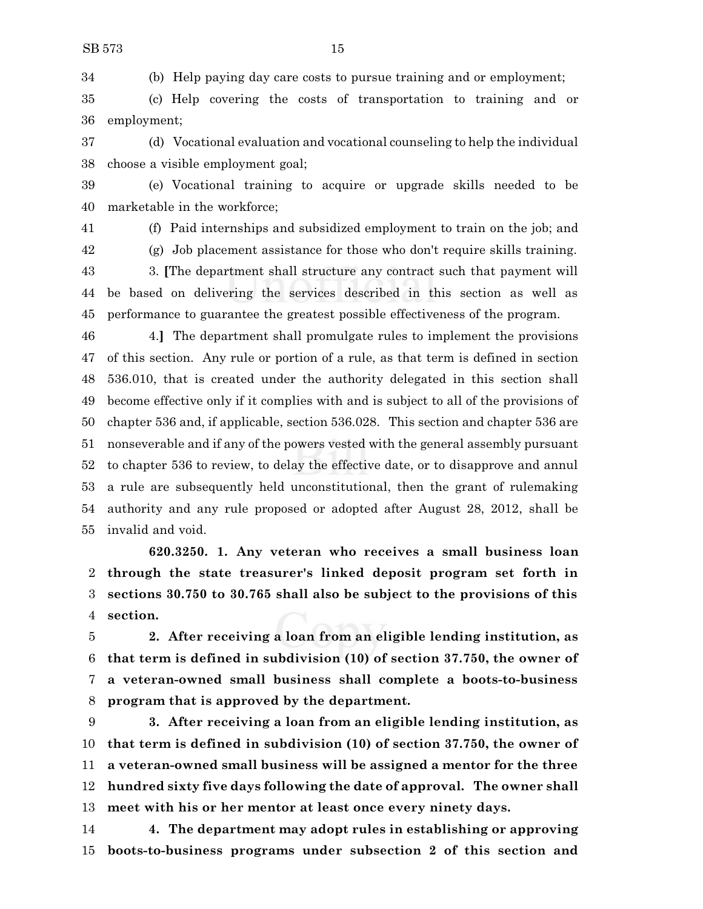(b) Help paying day care costs to pursue training and or employment;

 (c) Help covering the costs of transportation to training and or employment;

 (d) Vocational evaluation and vocational counseling to help the individual choose a visible employment goal;

 (e) Vocational training to acquire or upgrade skills needed to be marketable in the workforce;

(f) Paid internships and subsidized employment to train on the job; and

(g) Job placement assistance for those who don't require skills training.

 3. **[**The department shall structure any contract such that payment will be based on delivering the services described in this section as well as performance to guarantee the greatest possible effectiveness of the program.

 4.**]** The department shall promulgate rules to implement the provisions of this section. Any rule or portion of a rule, as that term is defined in section 536.010, that is created under the authority delegated in this section shall become effective only if it complies with and is subject to all of the provisions of chapter 536 and, if applicable, section 536.028. This section and chapter 536 are nonseverable and if any of the powers vested with the general assembly pursuant to chapter 536 to review, to delay the effective date, or to disapprove and annul a rule are subsequently held unconstitutional, then the grant of rulemaking authority and any rule proposed or adopted after August 28, 2012, shall be invalid and void.

**620.3250. 1. Any veteran who receives a small business loan through the state treasurer's linked deposit program set forth in sections 30.750 to 30.765 shall also be subject to the provisions of this section.**

 **2. After receiving a loan from an eligible lending institution, as that term is defined in subdivision (10) of section 37.750, the owner of a veteran-owned small business shall complete a boots-to-business program that is approved by the department.**

 **3. After receiving a loan from an eligible lending institution, as that term is defined in subdivision (10) of section 37.750, the owner of a veteran-owned small business will be assigned a mentor for the three hundred sixty five days following the date of approval. The owner shall meet with his or her mentor at least once every ninety days.**

 **4. The department may adopt rules in establishing or approving boots-to-business programs under subsection 2 of this section and**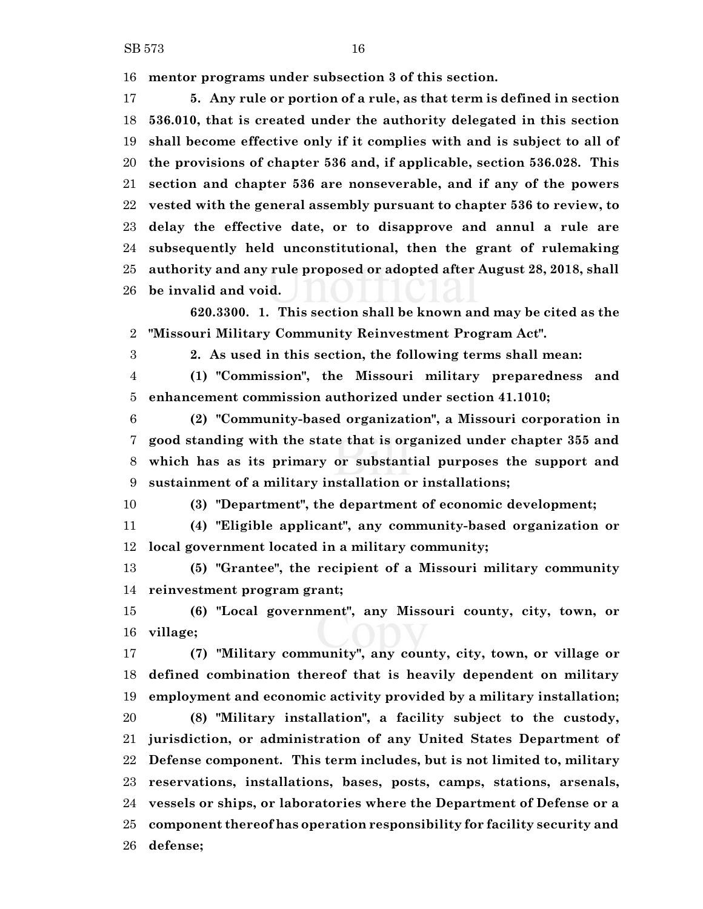**mentor programs under subsection 3 of this section.**

 **5. Any rule or portion of a rule, as that term is defined in section 536.010, that is created under the authority delegated in this section shall become effective only if it complies with and is subject to all of the provisions of chapter 536 and, if applicable, section 536.028. This section and chapter 536 are nonseverable, and if any of the powers vested with the general assembly pursuant to chapter 536 to review, to delay the effective date, or to disapprove and annul a rule are subsequently held unconstitutional, then the grant of rulemaking authority and any rule proposed or adopted after August 28, 2018, shall be invalid and void.**

**620.3300. 1. This section shall be known and may be cited as the "Missouri Military Community Reinvestment Program Act".**

**2. As used in this section, the following terms shall mean:**

 **(1) "Commission", the Missouri military preparedness and enhancement commission authorized under section 41.1010;**

 **(2) "Community-based organization", a Missouri corporation in good standing with the state that is organized under chapter 355 and which has as its primary or substantial purposes the support and sustainment of a military installation or installations;**

**(3) "Department", the department of economic development;**

 **(4) "Eligible applicant", any community-based organization or local government located in a military community;**

 **(5) "Grantee", the recipient of a Missouri military community reinvestment program grant;**

 **(6) "Local government", any Missouri county, city, town, or village;**

 **(7) "Military community", any county, city, town, or village or defined combination thereof that is heavily dependent on military employment and economic activity provided by a military installation; (8) "Military installation", a facility subject to the custody, jurisdiction, or administration of any United States Department of Defense component. This term includes, but is not limited to, military reservations, installations, bases, posts, camps, stations, arsenals, vessels or ships, or laboratories where the Department of Defense or a component thereof has operation responsibility for facility security and defense;**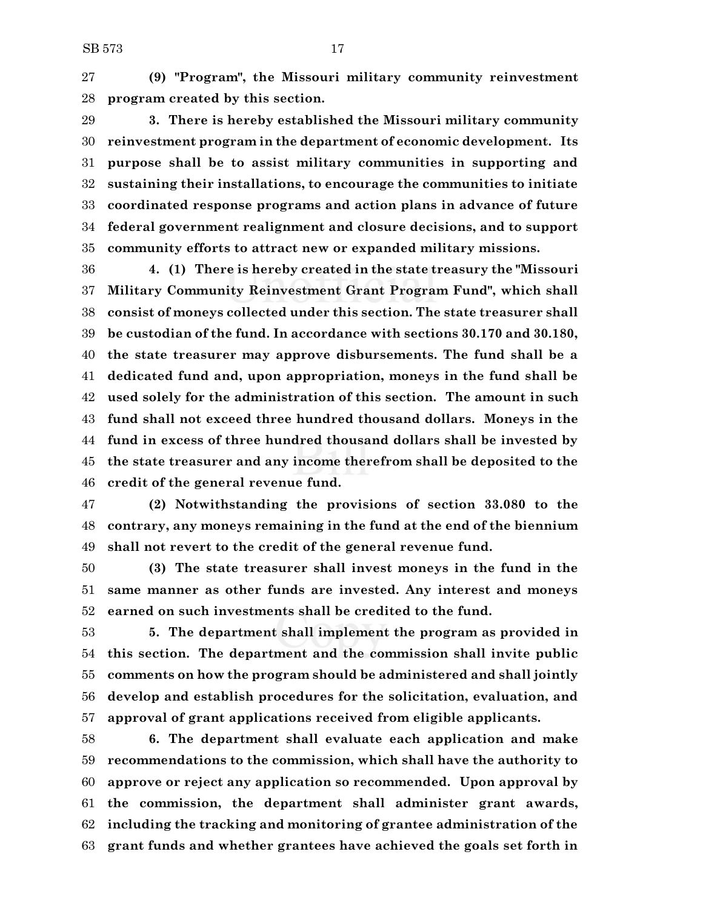**(9) "Program", the Missouri military community reinvestment program created by this section.**

 **3. There is hereby established the Missouri military community reinvestment program in the department of economic development. Its purpose shall be to assist military communities in supporting and sustaining their installations, to encourage the communities to initiate coordinated response programs and action plans in advance of future federal government realignment and closure decisions, and to support community efforts to attract new or expanded military missions.**

 **4. (1) There is hereby created in the state treasury the "Missouri Military Community Reinvestment Grant Program Fund", which shall consist of moneys collected under this section. The state treasurer shall be custodian of the fund. In accordance with sections 30.170 and 30.180, the state treasurer may approve disbursements. The fund shall be a dedicated fund and, upon appropriation, moneys in the fund shall be used solely for the administration of this section. The amount in such fund shall not exceed three hundred thousand dollars. Moneys in the fund in excess of three hundred thousand dollars shall be invested by the state treasurer and any income therefrom shall be deposited to the credit of the general revenue fund.**

 **(2) Notwithstanding the provisions of section 33.080 to the contrary, any moneys remaining in the fund at the end of the biennium shall not revert to the credit of the general revenue fund.**

 **(3) The state treasurer shall invest moneys in the fund in the same manner as other funds are invested. Any interest and moneys earned on such investments shall be credited to the fund.**

 **5. The department shall implement the program as provided in this section. The department and the commission shall invite public comments on how the program should be administered and shall jointly develop and establish procedures for the solicitation, evaluation, and approval of grant applications received from eligible applicants.**

 **6. The department shall evaluate each application and make recommendations to the commission, which shall have the authority to approve or reject any application so recommended. Upon approval by the commission, the department shall administer grant awards, including the tracking and monitoring of grantee administration of the grant funds and whether grantees have achieved the goals set forth in**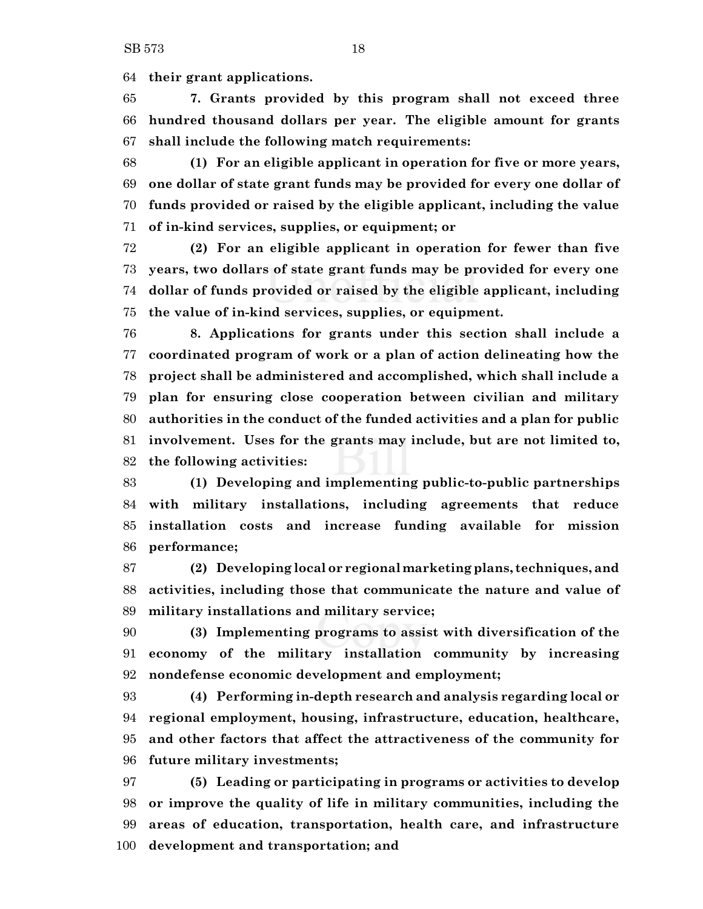**their grant applications.**

 **7. Grants provided by this program shall not exceed three hundred thousand dollars per year. The eligible amount for grants shall include the following match requirements:**

 **(1) For an eligible applicant in operation for five or more years, one dollar of state grant funds may be provided for every one dollar of funds provided or raised by the eligible applicant, including the value of in-kind services, supplies, or equipment; or**

 **(2) For an eligible applicant in operation for fewer than five years, two dollars of state grant funds may be provided for every one dollar of funds provided or raised by the eligible applicant, including the value of in-kind services, supplies, or equipment.**

 **8. Applications for grants under this section shall include a coordinated program of work or a plan of action delineating how the project shall be administered and accomplished, which shall include a plan for ensuring close cooperation between civilian and military authorities in the conduct of the funded activities and a plan for public involvement. Uses for the grants may include, but are not limited to, the following activities:**

 **(1) Developing and implementing public-to-public partnerships with military installations, including agreements that reduce installation costs and increase funding available for mission performance;**

 **(2) Developing local or regional marketing plans, techniques, and activities, including those that communicate the nature and value of military installations and military service;**

 **(3) Implementing programs to assist with diversification of the economy of the military installation community by increasing nondefense economic development and employment;**

 **(4) Performing in-depth research and analysis regarding local or regional employment, housing, infrastructure, education, healthcare, and other factors that affect the attractiveness of the community for future military investments;**

 **(5) Leading or participating in programs or activities to develop or improve the quality of life in military communities, including the areas of education, transportation, health care, and infrastructure development and transportation; and**